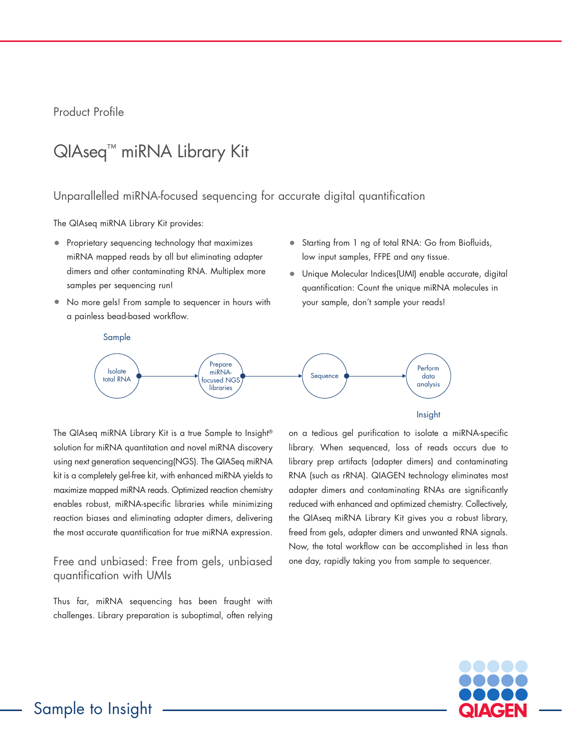# Product Profile

# QIAseq™ miRNA Library Kit

## Unparallelled miRNA-focused sequencing for accurate digital quantification

The QIAseq miRNA Library Kit provides:

- Proprietary sequencing technology that maximizes miRNA mapped reads by all but eliminating adapter dimers and other contaminating RNA. Multiplex more samples per sequencing run!
- No more gels! From sample to sequencer in hours with a painless bead-based workflow.
- Starting from 1 ng of total RNA: Go from Biofluids, low input samples, FFPE and any tissue.
- Unique Molecular Indices(UMI) enable accurate, digital quantification: Count the unique miRNA molecules in your sample, don't sample your reads!



The QIAseq miRNA Library Kit is a true Sample to Insight® solution for miRNA quantitation and novel miRNA discovery using next generation sequencing(NGS). The QIASeq miRNA kit is a completely gel-free kit, with enhanced miRNA yields to maximize mapped miRNA reads. Optimized reaction chemistry enables robust, miRNA-specific libraries while minimizing reaction biases and eliminating adapter dimers, delivering the most accurate quantification for true miRNA expression.

# Free and unbiased: Free from gels, unbiased quantification with UMIs

Thus far, miRNA sequencing has been fraught with challenges. Library preparation is suboptimal, often relying on a tedious gel purification to isolate a miRNA-specific library. When sequenced, loss of reads occurs due to library prep artifacts (adapter dimers) and contaminating RNA (such as rRNA). QIAGEN technology eliminates most adapter dimers and contaminating RNAs are significantly reduced with enhanced and optimized chemistry. Collectively, the QIAseq miRNA Library Kit gives you a robust library, freed from gels, adapter dimers and unwanted RNA signals. Now, the total workflow can be accomplished in less than one day, rapidly taking you from sample to sequencer.

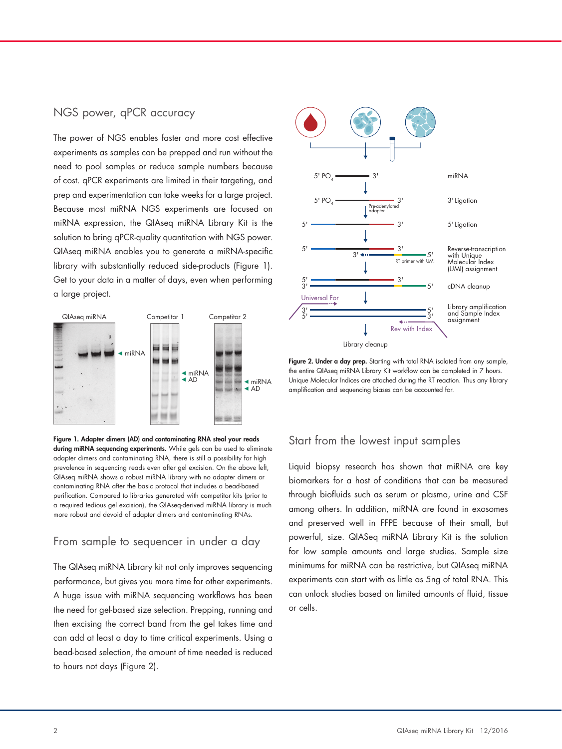# NGS power, qPCR accuracy

The power of NGS enables faster and more cost effective experiments as samples can be prepped and run without the need to pool samples or reduce sample numbers because of cost. qPCR experiments are limited in their targeting, and prep and experimentation can take weeks for a large project. Because most miRNA NGS experiments are focused on miRNA expression, the QIAseq miRNA Library Kit is the solution to bring qPCR-quality quantitation with NGS power. QIAseq miRNA enables you to generate a miRNA-specific library with substantially reduced side-products (Figure 1). Get to your data in a matter of days, even when performing a large project.



Figure 1. Adapter dimers (AD) and contaminating RNA steal your reads during miRNA sequencing experiments. While gels can be used to eliminate adapter dimers and contaminating RNA, there is still a possibility for high prevalence in sequencing reads even after gel excision. On the above left, QIAseq miRNA shows a robust miRNA library with no adapter dimers or contaminating RNA after the basic protocol that includes a bead-based purification. Compared to libraries generated with competitor kits (prior to a required tedious gel excision), the QIAseq-derived miRNA library is much more robust and devoid of adapter dimers and contaminating RNAs.

#### From sample to sequencer in under a day

The QIAseq miRNA Library kit not only improves sequencing performance, but gives you more time for other experiments. A huge issue with miRNA sequencing workflows has been the need for gel-based size selection. Prepping, running and then excising the correct band from the gel takes time and can add at least a day to time critical experiments. Using a bead-based selection, the amount of time needed is reduced to hours not days (Figure 2).



Figure 2. Under a day prep. Starting with total RNA isolated from any sample, the entire QIAseq miRNA Library Kit workflow can be completed in 7 hours. Unique Molecular Indices are attached during the RT reaction. Thus any library amplification and sequencing biases can be accounted for.

## Start from the lowest input samples

Liquid biopsy research has shown that miRNA are key biomarkers for a host of conditions that can be measured through biofluids such as serum or plasma, urine and CSF among others. In addition, miRNA are found in exosomes and preserved well in FFPE because of their small, but powerful, size. QIASeq miRNA Library Kit is the solution for low sample amounts and large studies. Sample size minimums for miRNA can be restrictive, but QIAseq miRNA experiments can start with as little as 5ng of total RNA. This can unlock studies based on limited amounts of fluid, tissue or cells.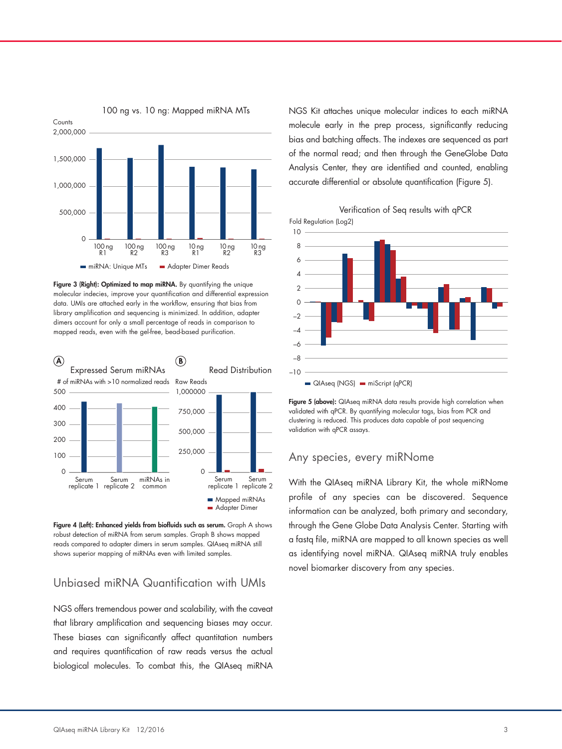

Figure 3 (Right): Optimized to map miRNA. By quantifying the unique molecular indecies, improve your quantification and differential expression data. UMIs are attached early in the workflow, ensuring that bias from library amplification and sequencing is minimized. In addition, adapter dimers account for only a small percentage of reads in comparison to mapped reads, even with the gel-free, bead-based purification.



Figure 4 (Left): Enhanced yields from biofluids such as serum. Graph A shows robust detection of miRNA from serum samples. Graph B shows mapped reads compared to adapter dimers in serum samples. QIAseq miRNA still shows superior mapping of miRNAs even with limited samples.

## Unbiased miRNA Quantification with UMIs

NGS offers tremendous power and scalability, with the caveat that library amplification and sequencing biases may occur. These biases can significantly affect quantitation numbers and requires quantification of raw reads versus the actual biological molecules. To combat this, the QIAseq miRNA NGS Kit attaches unique molecular indices to each miRNA molecule early in the prep process, significantly reducing bias and batching affects. The indexes are sequenced as part of the normal read; and then through the GeneGlobe Data Analysis Center, they are identified and counted, enabling accurate differential or absolute quantification (Figure 5).

Verification of Seq results with qPCR



Figure 5 (above): QIAseq miRNA data results provide high correlation when validated with qPCR. By quantifying molecular tags, bias from PCR and clustering is reduced. This produces data capable of post sequencing validation with qPCR assays.

#### Any species, every miRNome

With the QIAseq miRNA Library Kit, the whole miRNome profile of any species can be discovered. Sequence information can be analyzed, both primary and secondary, through the Gene Globe Data Analysis Center. Starting with a fastq file, miRNA are mapped to all known species as well as identifying novel miRNA. QIAseq miRNA truly enables novel biomarker discovery from any species.